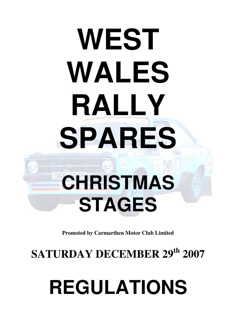# **WEST WALES RALLY SPARES CHRISTMAS STAGES**

**Promoted by Carmarthen Motor Club Limited**

### **SATURDAY DECEMBER 29th 2007**

## **REGULATIONS**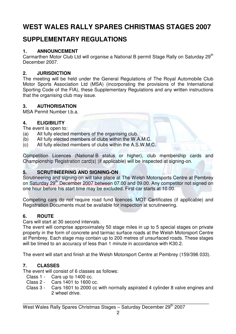#### **WEST WALES RALLY SPARES CHRISTMAS STAGES 2007**

#### **SUPPLEMENTARY REGULATIONS**

#### **1. ANNOUNCEMENT**

Carmarthen Motor Club Ltd will organise a National B permit Stage Rally on Saturday 29<sup>th</sup> December 2007.

#### **2. JURISDICTION**

The meeting will be held under the General Regulations of The Royal Automobile Club Motor Sports Association Ltd (MSA) (incorporating the provisions of the International Sporting Code of the FIA), these Supplementary Regulations and any written instructions that the organising club may issue.

#### **3. AUTHORISATION**

MSA Permit Number t.b.a.

#### **4. ELIGIBILITY**

The event is open to:

- (a) All fully elected members of the organising club.
- (b) All fully elected members of clubs within the W.A.M.C.
- (c) All fully elected members of clubs within the A.S.W.M.C.

Competition Licences (National B status or higher), club membership cards and Championship Registration card(s) (if applicable) will be inspected at signing-on.

#### **5. SCRUTINEERING AND SIGNING-ON**

Scrutineering and signing-on will take place at The Welsh Motorsports Centre at Pembrey on Saturday 29<sup>th</sup> December 2007 between 07.00 and 09.00. Any competitor not signed on one hour before his start time may be excluded. First car starts at 10.00.

Competing cars do not require road fund licences. MOT Certificates (if applicable) and Registration Documents must be available for inspection at scrutineering.

#### **6. ROUTE**

Cars will start at 30 second intervals.

The event will comprise approximately 50 stage miles in up to 5 special stages on private property in the form of concrete and tarmac surface roads at the Welsh Motorsport Centre at Pembrey. Each stage may contain up to 200 metres of unsurfaced roads. These stages will be timed to an accuracy of less than 1 minute in accordance with K30.2.

The event will start and finish at the Welsh Motorsport Centre at Pembrey (159/396 033).

#### **7. CLASSES**

The event will consist of 6 classes as follows:

- Class 1 Cars up to 1400 cc.
- Class 2 Cars 1401 to 1600 cc.
- Class 3 Cars 1601 to 2000 cc with normally aspirated 4 cylinder 8 valve engines and 2 wheel drive.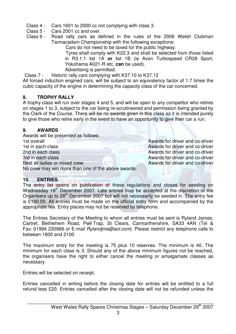- Class 4 Cars 1601 to 2000 cc not complying with class 3.
- Class 5 Cars 2001 cc and over.
- Class 6 Road rally cars as defined in the rules of the 2006 Welsh Clubman Tarmacadam Championship with the following exceptions:

Cars do not need to be taxed for the public highway.

 Tyres shall comply with K22.3 and shall be selected from those listed in R3.1.1 list 1A **or** list 1B (ie Avon Turbospeed CR28 Sport, Yokohama A021-R etc. **can** be used).

Advertising is permitted.

Class 7 - Historic rally cars complying with K37.10 to K37.12

All forced induction engined cars, will be subject to an equivalency factor of 1.7 times the cubic capacity of the engine in determining the capacity class of the car concerned.

#### **8. TROPHY RALLY**

A trophy class will run over stages 4 and 5, and will be open to any competitor who retires on stages 1 to 3, subject to the car being re-scrutineered and permission being granted by the Clerk of the Course. There will be no awards given in this class as it is intended purely to give those who retire early in the event to have an opportunity to give their car a run.

#### **9. AWARDS**

Awards will be presented as follows: 1st overall Awards for driver and co-driver 1st in each class **Awards** for driver and co-driver 2nd in each class **Awards for driver and co-driver** 3rd in each class Awards for driver and co-driver Best all ladies or mixed crew **Awards** for driver and co-driver No crew may win more than one of the above awards.

#### **10. ENTRIES**

The entry list opens on publication of these regulations and closes for seeding on Wednesday 19<sup>th</sup> December 2007. Late entries may be accepted at the discretion of the Organisers up to 28<sup>th</sup> December 2007 but will not necessarily be seeded in. The entry fee is £190.00. All entries must be made on the official entry form and accompanied by the appropriate fee. Entry places may not be reserved by telephone.

The Entries Secretary of the Meeting to whom all entries must be sent is Ryland James, Cartref, Bethlehem Road, Pwll Trap, St Clears, Carmarthenshire, SA33 4AN (Tel & Fax: 01994 230966 or E-mail Rylandjms@aol.com). Please restrict any telephone calls to between 1800 and 2100.

The maximum entry for the meeting is 75 plus 10 reserves. The minimum is 40. The minimum for each class is 3. Should any of the above minimum figures not be reached, the organisers have the right to either cancel the meeting or amalgamate classes as necessary.

Entries will be selected on receipt.

Entries cancelled in writing before the closing date for entries will be entitled to a full refund less £20. Entries cancelled after the closing date will not be refunded unless the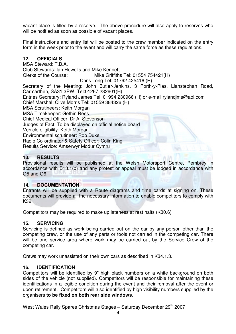vacant place is filled by a reserve. The above procedure will also apply to reserves who will be notified as soon as possible of vacant places.

Final instructions and entry list will be posted to the crew member indicated on the entry form in the week prior to the event and will carry the same force as these regulations.

#### **12. OFFICIALS**

MSA Steward: T.B.A. Club Stewards: Ian Howells and Mike Kennett Clerks of the Course: Mike Griffiths Tel: 01554 754421(H) Chris Long Tel: 01792 425416 (H) Secretary of the Meeting: John Butler-Jenkins, 3 Porth-y-Plas, Llanstephan Road, Carmarthen, SA31 3PW. Tel:01267 232601(H) Entries Secretary: Ryland James Tel: 01994 230966 (H) or e-mail rylandjms@aol.com Chief Marshal: Clive Morris Tel: 01559 384326 (H) MSA Scrutineers: Keith Morgan MSA Timekeeper: Gethin Rees Chief Medical Officer: Dr A. Stevenson Judges of Fact: To be displayed on official notice board Vehicle eligibility: Keith Morgan Environmental scrutineer: Rob Duke Radio Co-ordinator & Safety Officer: Colin King Results Service: Amserwyr Modur Cymru

#### **13. RESULTS**

Provisional results will be published at the Welsh Motorsport Centre, Pembrey in accordance with B13.1(b) and any protest or appeal must be lodged in accordance with O5 and O6.

#### **14. DOCUMENTATION**

Entrants will be supplied with a Route diagrams and time cards at signing on. These documents will provide all the necessary information to enable competitors to comply with K32.

Competitors may be required to make up lateness at rest halts (K30.6)

#### **15. SERVICING**

Servicing is defined as work being carried out on the car by any person other than the competing crew, or the use of any parts or tools not carried in the competing car. There will be one service area where work may be carried out by the Service Crew of the competing car.

Crews may work unassisted on their own cars as described in K34.1.3.

#### **16. IDENTIFICATION**

Competitors will be identified by 9" high black numbers on a white background on both sides of the vehicle (not supplied). Competitors will be responsible for maintaining these identifications in a legible condition during the event and their removal after the event or upon retirement. Competitors will also identified by high visibility numbers supplied by the organisers **to be fixed on both rear side windows**.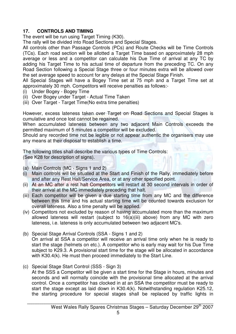#### **17. CONTROLS AND TIMING**

The event will be run using Target Timing (K30).

The rally will be divided into Road Sections and Special Stages.

All controls other than Passage Controls (PCs) and Route Checks will be Time Controls (TCs). Each road section will be allotted a Target Time based on approximately 28 mph average or less and a competitor can calculate his Due Time of arrival at any TC by adding his Target Time to his actual time of departure from the preceding TC. On any Road Section following a Special Stage three or four minutes extra will be allowed over the set average speed to account for any delays at the Special Stage Finish.

All Special Stages will have a Bogey Time set at 75 mph and a Target Time set at approximately 30 mph. Competitors will receive penalties as follows:-

- (i) Under Bogey Bogey Time
- (ii) Over Bogey under Target Actual Time Taken
- (iii) Over Target Target Time(No extra time penalties)

However, excess lateness taken over Target on Road Sections and Special Stages is cumulative and once lost cannot be regained.

When accumulated lateness between any two adjacent Main Controls exceeds the permitted maximum of 5 minutes a competitor will be excluded.

Should any recorded time not be legible or not appear authentic the organisers may use any means at their disposal to establish a time.

The following titles shall describe the various types of Time Controls: (See K28 for description of signs).

- (a) Main Controls (MC Signs 1 and 2)
- (i) Main controls will be situated at the Start and Finish of the Rally, immediately before and after any Rest Halt/Service Area, or at any other specified point.
- (ii) At an MC after a rest halt Competitors will restart at 30 second intervals in order of their arrival at the MC immediately preceding that halt.
- (iii) Each competitor will be given a due starting time from any MC and the difference between this time and his actual starting time will be counted towards exclusion for overall lateness. Also a time penalty will be applied.
- (iv) Competitors not excluded by reason of having accumulated more than the maximum allowed lateness will restart (subject to 16(a)(iii) above) from any MC with zero lateness, i.e. lateness is only accumulated between two adjacent MC's.
- (b) Special Stage Arrival Controls (SSA Signs 1 and 2) On arrival at SSA a competitor will receive an arrival time only when he is ready to start the stage (helmets on etc.). A competitor who is early may wait for his Due Time subject to K29.3. A provisional start time for the stage will be allocated in accordance with K30.4(k). He must then proceed immediately to the Start Line.
- (c) Special Stage Start Control (SSS Sign 3)

At the SSS a Competitor will be given a start time for the Stage in hours, minutes and seconds and will normally coincide with the provisional time allocated at the arrival control. Once a competitor has clocked in at an SSA the competitor must be ready to start the stage except as laid down in K30.4(k). Notwithstanding regulation K25.12, the starting procedure for special stages shall be replaced by traffic lights in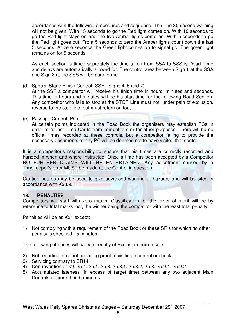accordance with the following procedures and sequence. The The 30 second warning will not be given. With 15 seconds to go the Red light comes on. With 10 seconds to go the Red light stays on and the five Amber lights come on. With 5 seconds to go the Red light goes out. From 5 seconds to zero the Amber lights count down the last 5 seconds. At zero seconds the Green light comes on to signal go. The green light remains on for 5 seconds

 As each section is timed separately the time taken from SSA to SSS is Dead Time and delays are automatically allowed for. The control area between Sign 1 at the SSA and Sign 3 at the SSS will be parc ferme

(d) Special Stage Finish Control (SSF - Signs 4, 5 and 7)

 At the SSF a competitor will receive his finish time in hours, minutes and seconds. This time in hours and minutes will be his start time for the following Road Section. Any competitor who fails to stop at the STOP Line must not, under pain of exclusion, reverse to the stop line, but must return on foot.

(e) Passage Control (PC)

 At certain points indicated in the Road Book the organisers may establish PCs in order to collect Time Cards from competitors or for other purposes. There will be no official times recorded at these controls, but a competitor failing to provide the necessary documents at any PC will be deemed not to have visited that control.

It is a competitor's responsibility to ensure that his times are correctly recorded and handed in when and where instructed. Once a time has been accepted by a Competitor NO FURTHER CLAIMS WILL BE ENTERTAINED. Any adjustment caused by a Timekeeper's error MUST be made at the Control in question.

Caution boards may be used to give advanced warning of hazards and will be sited in accordance with K28.9.

#### **18. PENALTIES**

Competitors will start with zero marks. Classification for the order of merit will be by reference to total marks lost, the winner being the competitor with the least total penalty.

Penalties will be as K31 except:

1) Not complying with a requirement of the Road Book or these SR's for which no other penalty is specified - 5 minutes

The following offences will carry a penalty of Exclusion from results:

- 2) Not reporting at or not providing proof of visiting a control or check
- 3) Servicing contrary to SR14
- 4) Contravention of K9, 35.4, 25.1, 25.3, 25.3.1, 25.3.2, 25.8, 25.9.1, 25.9.2.
- 5) Accumulated lateness (in excess of target time) between any two adjacent Main Controls of more than 5 minutes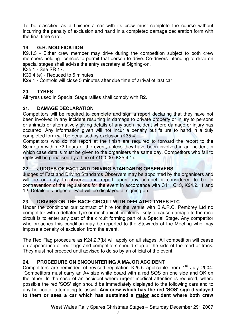To be classified as a finisher a car with its crew must complete the course without incurring the penalty of exclusion and hand in a completed damage declaration form with the final time card.

#### **19 G.R. MODIFICATION**

K9.1.3 - Either crew member may drive during the competition subject to both crew members holding licences to permit that person to drive. Co-drivers intending to drive on special stages shall advise the entry secretary at Signing-on.

K35.1 - See SR 17.

K30.4 (e) - Reduced to 5 minutes.

K29.1 - Controls will close 5 minutes after due time of arrival of last car

#### **20. TYRES**

All tyres used in Special Stage rallies shall comply with R2.

#### **21. DAMAGE DECLARATION**

Competitors will be required to complete and sign a report declaring that they have not been involved in any incident resulting in damage to private property or injury to persons or animals or alternatively giving details of any such incident where damage or injury has occurred. Any information given will not incur a penalty but failure to hand in a duly completed form will be penalised by exclusion (K35.4).

Competitors who do not report at the finish are required to forward the report to the Secretary within 72 hours of the event, unless they have been involved in an incident in which case details must be given to the organisers the same day. Competitors who fail to reply will be penalised by a fine of £100.00 (K35.4.1).

#### **22. JUDGES OF FACT AND DRIVING STANDARDS OBSERVERS**

Judges of Fact and Driving Standards Observers may be appointed by the organisers and will be on duty to observe and report upon any competitor considered to be in contravention of the regulations for the event in accordance with C11, C13, K24.2.11 and 12. Details of Judges of Fact will be displayed at signing-on.

#### **23. DRIVING ON THE RACE CIRCUIT WITH DEFLATED TYRES ETC**

Under the conditions our contract of hire for the venue with B.A.R.C. Pembrey Ltd no competitor with a deflated tyre or mechanical problems likely to cause damage to the race circuit is to enter any part of the circuit forming part of a Special Stage. Any competitor who breaches this condition may be reported to the Stewards of the Meeting who may impose a penalty of exclusion from the event.

The Red Flag procedure as K24.2.7(b) will apply on all stages. All competition will cease on appearance of red flags and competitors should stop at the side of the road or track. They must not proceed until advised to do so by an official of the event.

#### **24. PROCEDURE ON ENCOUNTERING A MAJOR ACCIDENT**

Competitors are reminded of revised regulation K25.5 applicable from  $1<sup>st</sup>$  July 2004: "Competitors must carry an A4 size white board with a red SOS on one side and OK on the other. In the case of an accident where urgent medical attention is required, where possible the red 'SOS' sign should be immediately displayed to the following cars and to any helicopter attempting to assist. **Any crew which has the red 'SOS' sign displayed to them or sees a car which has sustained a major accident where both crew**